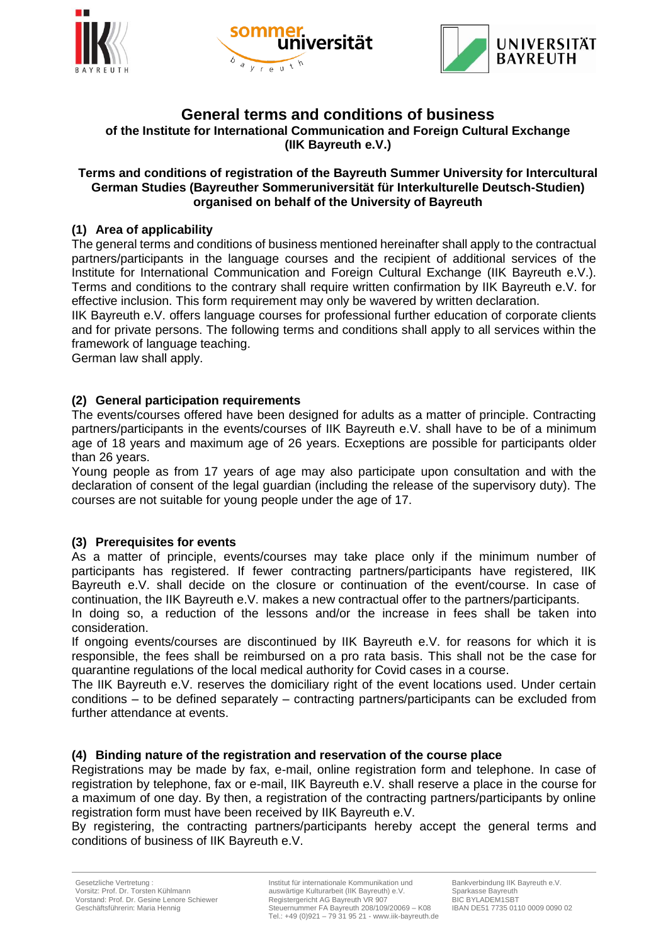





# **General terms and conditions of business**

**of the Institute for International Communication and Foreign Cultural Exchange (IIK Bayreuth e.V.)**

#### **Terms and conditions of registration of the Bayreuth Summer University for Intercultural German Studies (Bayreuther Sommeruniversität für Interkulturelle Deutsch-Studien) organised on behalf of the University of Bayreuth**

# **(1) Area of applicability**

The general terms and conditions of business mentioned hereinafter shall apply to the contractual partners/participants in the language courses and the recipient of additional services of the Institute for International Communication and Foreign Cultural Exchange (IIK Bayreuth e.V.). Terms and conditions to the contrary shall require written confirmation by IIK Bayreuth e.V. for effective inclusion. This form requirement may only be wavered by written declaration.

IIK Bayreuth e.V. offers language courses for professional further education of corporate clients and for private persons. The following terms and conditions shall apply to all services within the framework of language teaching.

German law shall apply.

# **(2) General participation requirements**

The events/courses offered have been designed for adults as a matter of principle. Contracting partners/participants in the events/courses of IIK Bayreuth e.V. shall have to be of a minimum age of 18 years and maximum age of 26 years. Ecxeptions are possible for participants older than 26 years.

Young people as from 17 years of age may also participate upon consultation and with the declaration of consent of the legal guardian (including the release of the supervisory duty). The courses are not suitable for young people under the age of 17.

#### **(3) Prerequisites for events**

As a matter of principle, events/courses may take place only if the minimum number of participants has registered. If fewer contracting partners/participants have registered, IIK Bayreuth e.V. shall decide on the closure or continuation of the event/course. In case of continuation, the IIK Bayreuth e.V. makes a new contractual offer to the partners/participants.

In doing so, a reduction of the lessons and/or the increase in fees shall be taken into consideration.

If ongoing events/courses are discontinued by IIK Bayreuth e.V. for reasons for which it is responsible, the fees shall be reimbursed on a pro rata basis. This shall not be the case for quarantine regulations of the local medical authority for Covid cases in a course.

The IIK Bayreuth e.V. reserves the domiciliary right of the event locations used. Under certain conditions – to be defined separately – contracting partners/participants can be excluded from further attendance at events.

#### **(4) Binding nature of the registration and reservation of the course place**

Registrations may be made by fax, e-mail, online registration form and telephone. In case of registration by telephone, fax or e-mail, IIK Bayreuth e.V. shall reserve a place in the course for a maximum of one day. By then, a registration of the contracting partners/participants by online registration form must have been received by IIK Bayreuth e.V.

By registering, the contracting partners/participants hereby accept the general terms and conditions of business of IIK Bayreuth e.V.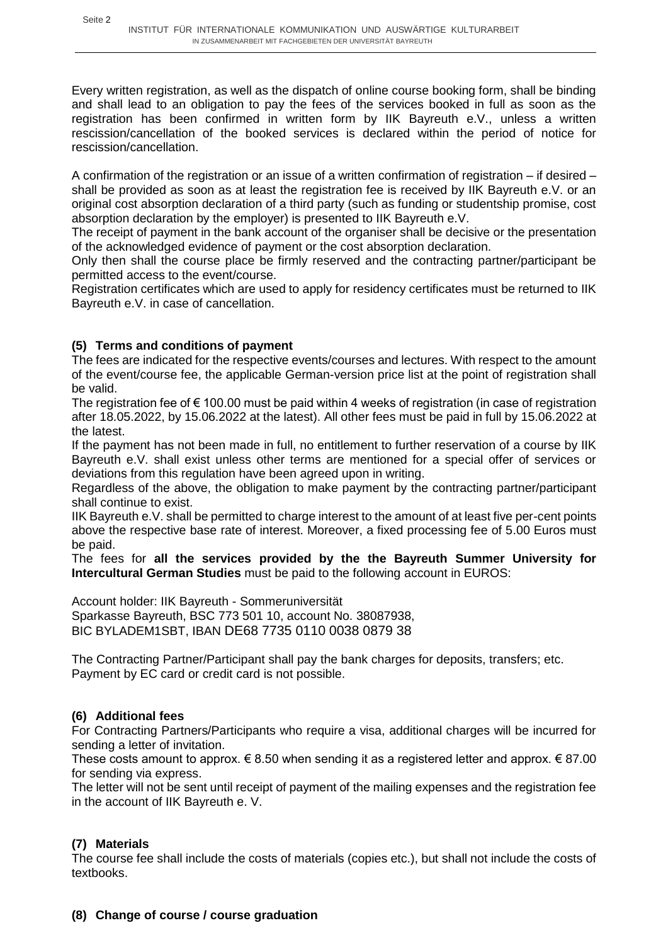Every written registration, as well as the dispatch of online course booking form, shall be binding and shall lead to an obligation to pay the fees of the services booked in full as soon as the registration has been confirmed in written form by IIK Bayreuth e.V., unless a written rescission/cancellation of the booked services is declared within the period of notice for rescission/cancellation.

A confirmation of the registration or an issue of a written confirmation of registration – if desired – shall be provided as soon as at least the registration fee is received by IIK Bayreuth e.V. or an original cost absorption declaration of a third party (such as funding or studentship promise, cost absorption declaration by the employer) is presented to IIK Bayreuth e.V.

The receipt of payment in the bank account of the organiser shall be decisive or the presentation of the acknowledged evidence of payment or the cost absorption declaration.

Only then shall the course place be firmly reserved and the contracting partner/participant be permitted access to the event/course.

Registration certificates which are used to apply for residency certificates must be returned to IIK Bayreuth e.V. in case of cancellation.

# **(5) Terms and conditions of payment**

The fees are indicated for the respective events/courses and lectures. With respect to the amount of the event/course fee, the applicable German-version price list at the point of registration shall be valid.

The registration fee of  $\epsilon$  100.00 must be paid within 4 weeks of registration (in case of registration after 18.05.2022, by 15.06.2022 at the latest). All other fees must be paid in full by 15.06.2022 at the latest.

If the payment has not been made in full, no entitlement to further reservation of a course by IIK Bayreuth e.V. shall exist unless other terms are mentioned for a special offer of services or deviations from this regulation have been agreed upon in writing.

Regardless of the above, the obligation to make payment by the contracting partner/participant shall continue to exist.

IIK Bayreuth e.V. shall be permitted to charge interest to the amount of at least five per-cent points above the respective base rate of interest. Moreover, a fixed processing fee of 5.00 Euros must be paid.

The fees for **all the services provided by the the Bayreuth Summer University for Intercultural German Studies** must be paid to the following account in EUROS:

Account holder: IIK Bayreuth - Sommeruniversität Sparkasse Bayreuth, BSC 773 501 10, account No. 38087938, BIC BYLADEM1SBT, IBAN DE68 7735 0110 0038 0879 38

The Contracting Partner/Participant shall pay the bank charges for deposits, transfers; etc. Payment by EC card or credit card is not possible.

# **(6) Additional fees**

For Contracting Partners/Participants who require a visa, additional charges will be incurred for sending a letter of invitation.

These costs amount to approx.  $\epsilon$  8.50 when sending it as a registered letter and approx.  $\epsilon$  87.00 for sending via express.

The letter will not be sent until receipt of payment of the mailing expenses and the registration fee in the account of IIK Bayreuth e. V.

# **(7) Materials**

The course fee shall include the costs of materials (copies etc.), but shall not include the costs of textbooks.

# **(8) Change of course / course graduation**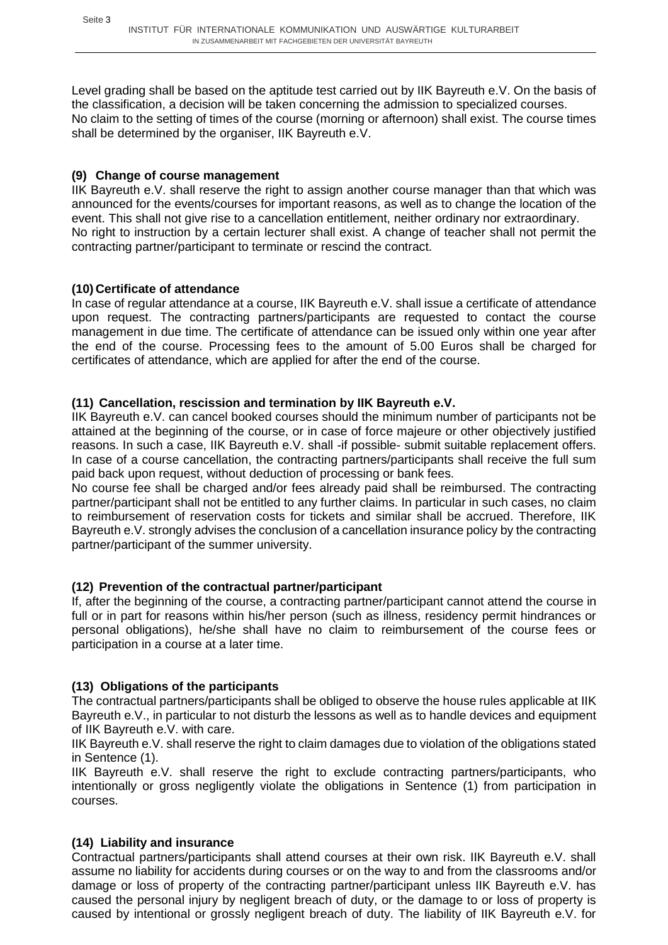Level grading shall be based on the aptitude test carried out by IIK Bayreuth e.V. On the basis of the classification, a decision will be taken concerning the admission to specialized courses. No claim to the setting of times of the course (morning or afternoon) shall exist. The course times shall be determined by the organiser, IIK Bayreuth e.V.

# **(9) Change of course management**

IIK Bayreuth e.V. shall reserve the right to assign another course manager than that which was announced for the events/courses for important reasons, as well as to change the location of the event. This shall not give rise to a cancellation entitlement, neither ordinary nor extraordinary. No right to instruction by a certain lecturer shall exist. A change of teacher shall not permit the contracting partner/participant to terminate or rescind the contract.

# **(10) Certificate of attendance**

In case of regular attendance at a course, IIK Bayreuth e.V. shall issue a certificate of attendance upon request. The contracting partners/participants are requested to contact the course management in due time. The certificate of attendance can be issued only within one year after the end of the course. Processing fees to the amount of 5.00 Euros shall be charged for certificates of attendance, which are applied for after the end of the course.

# **(11) Cancellation, rescission and termination by IIK Bayreuth e.V.**

IIK Bayreuth e.V. can cancel booked courses should the minimum number of participants not be attained at the beginning of the course, or in case of force majeure or other objectively justified reasons. In such a case, IIK Bayreuth e.V. shall -if possible- submit suitable replacement offers. In case of a course cancellation, the contracting partners/participants shall receive the full sum paid back upon request, without deduction of processing or bank fees.

No course fee shall be charged and/or fees already paid shall be reimbursed. The contracting partner/participant shall not be entitled to any further claims. In particular in such cases, no claim to reimbursement of reservation costs for tickets and similar shall be accrued. Therefore, IIK Bayreuth e.V. strongly advises the conclusion of a cancellation insurance policy by the contracting partner/participant of the summer university.

#### **(12) Prevention of the contractual partner/participant**

If, after the beginning of the course, a contracting partner/participant cannot attend the course in full or in part for reasons within his/her person (such as illness, residency permit hindrances or personal obligations), he/she shall have no claim to reimbursement of the course fees or participation in a course at a later time.

#### **(13) Obligations of the participants**

The contractual partners/participants shall be obliged to observe the house rules applicable at IIK Bayreuth e.V., in particular to not disturb the lessons as well as to handle devices and equipment of IIK Bayreuth e.V. with care.

IIK Bayreuth e.V. shall reserve the right to claim damages due to violation of the obligations stated in Sentence (1).

IIK Bayreuth e.V. shall reserve the right to exclude contracting partners/participants, who intentionally or gross negligently violate the obligations in Sentence (1) from participation in courses.

#### **(14) Liability and insurance**

Contractual partners/participants shall attend courses at their own risk. IIK Bayreuth e.V. shall assume no liability for accidents during courses or on the way to and from the classrooms and/or damage or loss of property of the contracting partner/participant unless IIK Bayreuth e.V. has caused the personal injury by negligent breach of duty, or the damage to or loss of property is caused by intentional or grossly negligent breach of duty. The liability of IIK Bayreuth e.V. for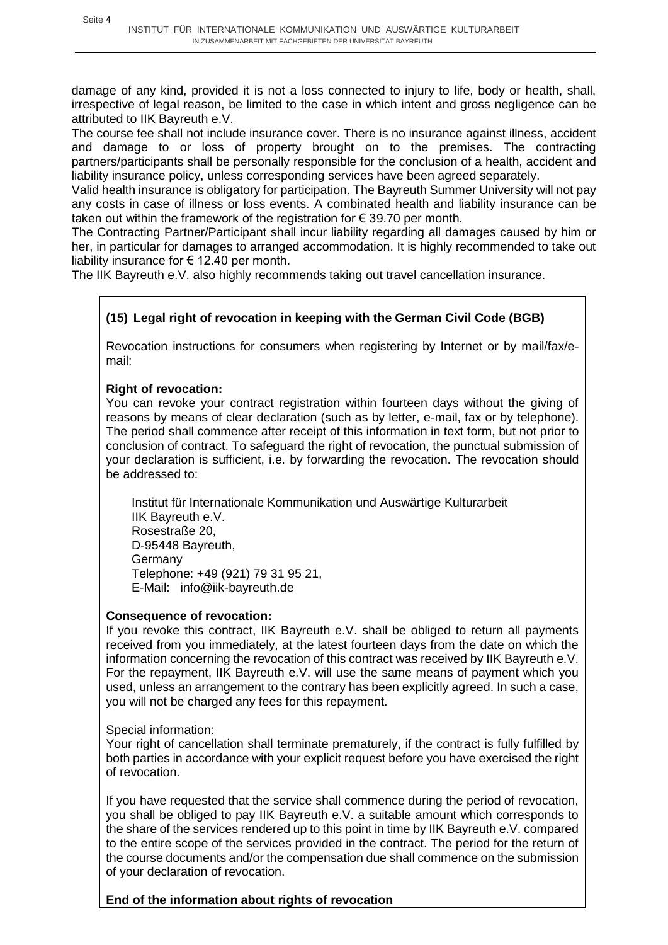damage of any kind, provided it is not a loss connected to injury to life, body or health, shall, irrespective of legal reason, be limited to the case in which intent and gross negligence can be attributed to IIK Bayreuth e.V.

The course fee shall not include insurance cover. There is no insurance against illness, accident and damage to or loss of property brought on to the premises. The contracting partners/participants shall be personally responsible for the conclusion of a health, accident and liability insurance policy, unless corresponding services have been agreed separately.

Valid health insurance is obligatory for participation. The Bayreuth Summer University will not pay any costs in case of illness or loss events. A combinated health and liability insurance can be taken out within the framework of the registration for € 39.70 per month.

The Contracting Partner/Participant shall incur liability regarding all damages caused by him or her, in particular for damages to arranged accommodation. It is highly recommended to take out liability insurance for  $\epsilon$  12.40 per month.

The IIK Bayreuth e.V. also highly recommends taking out travel cancellation insurance.

# **(15) Legal right of revocation in keeping with the German Civil Code (BGB)**

Revocation instructions for consumers when registering by Internet or by mail/fax/email:

# **Right of revocation:**

You can revoke your contract registration within fourteen days without the giving of reasons by means of clear declaration (such as by letter, e-mail, fax or by telephone). The period shall commence after receipt of this information in text form, but not prior to conclusion of contract. To safeguard the right of revocation, the punctual submission of your declaration is sufficient, i.e. by forwarding the revocation. The revocation should be addressed to:

Institut für Internationale Kommunikation und Auswärtige Kulturarbeit IIK Bayreuth e.V. Rosestraße 20, D-95448 Bayreuth, Germany Telephone: +49 (921) 79 31 95 21, E-Mail: info@iik-bayreuth.de

#### **Consequence of revocation:**

If you revoke this contract, IIK Bayreuth e.V. shall be obliged to return all payments received from you immediately, at the latest fourteen days from the date on which the information concerning the revocation of this contract was received by IIK Bayreuth e.V. For the repayment, IIK Bayreuth e.V. will use the same means of payment which you used, unless an arrangement to the contrary has been explicitly agreed. In such a case, you will not be charged any fees for this repayment.

Special information:

Your right of cancellation shall terminate prematurely, if the contract is fully fulfilled by both parties in accordance with your explicit request before you have exercised the right of revocation.

If you have requested that the service shall commence during the period of revocation, you shall be obliged to pay IIK Bayreuth e.V. a suitable amount which corresponds to the share of the services rendered up to this point in time by IIK Bayreuth e.V. compared to the entire scope of the services provided in the contract. The period for the return of the course documents and/or the compensation due shall commence on the submission of your declaration of revocation.

# **End of the information about rights of revocation**